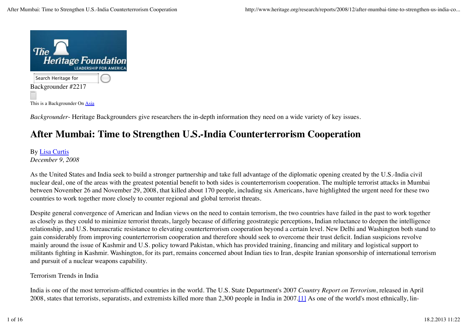

*Backgrounder*- Heritage Backgrounders give researchers the in-depth information they need on a wide variety of key issues.

# **After Mumbai: Time to Strengthen U.S.-India Counterterrorism Cooperation**

### By Lisa Curtis *December 9, 2008*

As the United States and India seek to build a stronger partnership and take full advantage of the diplomatic opening created by the U.S.-India civil nuclear deal, one of the areas with the greatest potential benefit to both sides is counterterrorism cooperation. The multiple terrorist attacks in Mumbai between November 26 and November 29, 2008, that killed about 170 people, including six Americans, have highlighted the urgent need for these two countries to work together more closely to counter regional and global terrorist threats.

Despite general convergence of American and Indian views on the need to contain terrorism, the two countries have failed in the past to work together as closely as they could to minimize terrorist threats, largely because of differing geostrategic perceptions, Indian reluctance to deepen the intelligence relationship, and U.S. bureaucratic resistance to elevating counterterrorism cooperation beyond a certain level. New Delhi and Washington both stand to gain considerably from improving counterterrorism cooperation and therefore should seek to overcome their trust deficit. Indian suspicions revolve mainly around the issue of Kashmir and U.S. policy toward Pakistan, which has provided training, financing and military and logistical support to militants fighting in Kashmir. Washington, for its part, remains concerned about Indian ties to Iran, despite Iranian sponsorship of international terrorism and pursuit of a nuclear weapons capability.

# Terrorism Trends in India

India is one of the most terrorism-afflicted countries in the world. The U.S. State Department's 2007 *Country Report on Terrorism*, released in April 2008, states that terrorists, separatists, and extremists killed more than 2,300 people in India in 2007.[1] As one of the world's most ethnically, lin-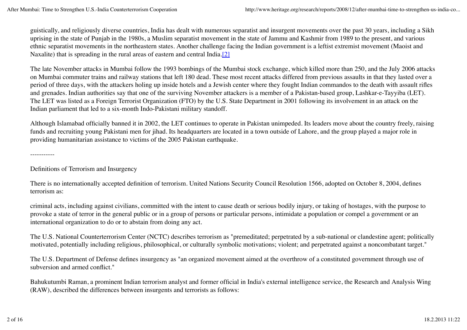guistically, and religiously diverse countries, India has dealt with numerous separatist and insurgent movements over the past 30 years, including a Sikh uprising in the state of Punjab in the 1980s, a Muslim separatist movement in the state of Jammu and Kashmir from 1989 to the present, and various ethnic separatist movements in the northeastern states. Another challenge facing the Indian government is a leftist extremist movement (Maoist and Naxalite) that is spreading in the rural areas of eastern and central India.<sup>[2]</sup>

The late November attacks in Mumbai follow the 1993 bombings of the Mumbai stock exchange, which killed more than 250, and the July 2006 attacks on Mumbai commuter trains and railway stations that left 180 dead. These most recent attacks differed from previous assaults in that they lasted over a period of three days, with the attackers holing up inside hotels and a Jewish center where they fought Indian commandos to the death with assault rifles and grenades. Indian authorities say that one of the surviving November attackers is a member of a Pakistan-based group, Lashkar-e-Tayyiba (LET). The LET was listed as a Foreign Terrorist Organization (FTO) by the U.S. State Department in 2001 following its involvement in an attack on the Indian parliament that led to a six-month Indo-Pakistani military standoff.

Although Islamabad officially banned it in 2002, the LET continues to operate in Pakistan unimpeded. Its leaders move about the country freely, raising funds and recruiting young Pakistani men for jihad. Its headquarters are located in a town outside of Lahore, and the group played a major role in providing humanitarian assistance to victims of the 2005 Pakistan earthquake.

-----------

Definitions of Terrorism and Insurgency

There is no internationally accepted definition of terrorism. United Nations Security Council Resolution 1566, adopted on October 8, 2004, defines terrorism as:

criminal acts, including against civilians, committed with the intent to cause death or serious bodily injury, or taking of hostages, with the purpose to provoke a state of terror in the general public or in a group of persons or particular persons, intimidate a population or compel a government or an international organization to do or to abstain from doing any act.

The U.S. National Counterterrorism Center (NCTC) describes terrorism as "premeditated; perpetrated by a sub-national or clandestine agent; politically motivated, potentially including religious, philosophical, or culturally symbolic motivations; violent; and perpetrated against a noncombatant target."

The U.S. Department of Defense defines insurgency as "an organized movement aimed at the overthrow of a constituted government through use of subversion and armed conflict."

Bahukutumbi Raman, a prominent Indian terrorism analyst and former official in India's external intelligence service, the Research and Analysis Wing (RAW), described the differences between insurgents and terrorists as follows: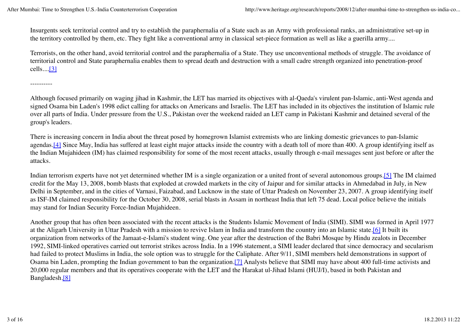Insurgents seek territorial control and try to establish the paraphernalia of a State such as an Army with professional ranks, an administrative set-up in the territory controlled by them, etc. They fight like a conventional army in classical set-piece formation as well as like a guerilla army....

Terrorists, on the other hand, avoid territorial control and the paraphernalia of a State. They use unconventional methods of struggle. The avoidance of territorial control and State paraphernalia enables them to spread death and destruction with a small cadre strength organized into penetration-proof cells....[3]

----------

Although focused primarily on waging jihad in Kashmir, the LET has married its objectives with al-Qaeda's virulent pan-Islamic, anti-West agenda and signed Osama bin Laden's 1998 edict calling for attacks on Americans and Israelis. The LET has included in its objectives the institution of Islamic rule over all parts of India. Under pressure from the U.S., Pakistan over the weekend raided an LET camp in Pakistani Kashmir and detained several of the group's leaders.

There is increasing concern in India about the threat posed by homegrown Islamist extremists who are linking domestic grievances to pan-Islamic agendas.[4] Since May, India has suffered at least eight major attacks inside the country with a death toll of more than 400. A group identifying itself as the Indian Mujahideen (IM) has claimed responsibility for some of the most recent attacks, usually through e-mail messages sent just before or after the attacks.

Indian terrorism experts have not yet determined whether IM is a single organization or a united front of several autonomous groups.[5] The IM claimed credit for the May 13, 2008, bomb blasts that exploded at crowded markets in the city of Jaipur and for similar attacks in Ahmedabad in July, in New Delhi in September, and in the cities of Varnasi, Faizabad, and Lucknow in the state of Uttar Pradesh on November 23, 2007. A group identifying itself as ISF-IM claimed responsibility for the October 30, 2008, serial blasts in Assam in northeast India that left 75 dead. Local police believe the initials may stand for Indian Security Force-Indian Mujahideen.

Another group that has often been associated with the recent attacks is the Students Islamic Movement of India (SIMI). SIMI was formed in April 1977 at the Aligarh University in Uttar Pradesh with a mission to revive Islam in India and transform the country into an Islamic state.[6] It built its organization from networks of the Jamaat-e-Islami's student wing. One year after the destruction of the Babri Mosque by Hindu zealots in December 1992, SIMI-linked operatives carried out terrorist strikes across India. In a 1996 statement, a SIMI leader declared that since democracy and secularism had failed to protect Muslims in India, the sole option was to struggle for the Caliphate. After 9/11, SIMI members held demonstrations in support of Osama bin Laden, prompting the Indian government to ban the organization.[7] Analysts believe that SIMI may have about 400 full-time activists and 20,000 regular members and that its operatives cooperate with the LET and the Harakat ul-Jihad Islami (HUJ/I), based in both Pakistan and Bangladesh.[8]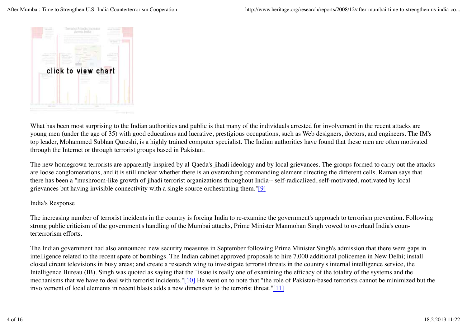

What has been most surprising to the Indian authorities and public is that many of the individuals arrested for involvement in the recent attacks are young men (under the age of 35) with good educations and lucrative, prestigious occupations, such as Web designers, doctors, and engineers. The IM's top leader, Mohammed Subhan Qureshi, is a highly trained computer specialist. The Indian authorities have found that these men are often motivated through the Internet or through terrorist groups based in Pakistan.

The new homegrown terrorists are apparently inspired by al-Qaeda's jihadi ideology and by local grievances. The groups formed to carry out the attacks are loose conglomerations, and it is still unclear whether there is an overarching commanding element directing the different cells. Raman says that there has been a "mushroom-like growth of jihadi terrorist organizations throughout India-- self-radicalized, self-motivated, motivated by local grievances but having invisible connectivity with a single source orchestrating them."[9]

### India's Response

The increasing number of terrorist incidents in the country is forcing India to re-examine the government's approach to terrorism prevention. Following strong public criticism of the government's handling of the Mumbai attacks, Prime Minister Manmohan Singh vowed to overhaul India's counterterrorism efforts.

The Indian government had also announced new security measures in September following Prime Minister Singh's admission that there were gaps in intelligence related to the recent spate of bombings. The Indian cabinet approved proposals to hire 7,000 additional policemen in New Delhi; install closed circuit televisions in busy areas; and create a research wing to investigate terrorist threats in the country's internal intelligence service, the Intelligence Bureau (IB). Singh was quoted as saying that the "issue is really one of examining the efficacy of the totality of the systems and the mechanisms that we have to deal with terrorist incidents."[10] He went on to note that "the role of Pakistan-based terrorists cannot be minimized but the involvement of local elements in recent blasts adds a new dimension to the terrorist threat."[11]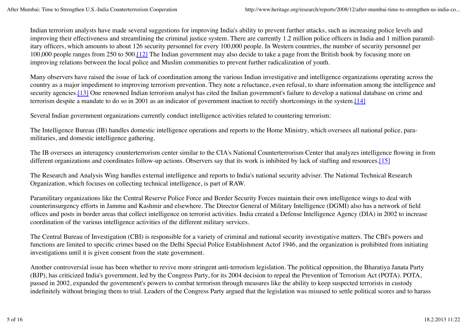Indian terrorism analysts have made several suggestions for improving India's ability to prevent further attacks, such as increasing police levels and improving their effectiveness and streamlining the criminal justice system. There are currently 1.2 million police officers in India and 1 million paramilitary officers, which amounts to about 126 security personnel for every 100,000 people. In Western countries, the number of security personnel per 100,000 people ranges from 250 to 500.[12] The Indian government may also decide to take a page from the British book by focusing more on improving relations between the local police and Muslim communities to prevent further radicalization of youth.

Many observers have raised the issue of lack of coordination among the various Indian investigative and intelligence organizations operating across the country as a major impediment to improving terrorism prevention. They note a reluctance, even refusal, to share information among the intelligence and security agencies.<sup>[13]</sup> One renowned Indian terrorism analyst has cited the Indian government's failure to develop a national database on crime and terrorism despite a mandate to do so in 2001 as an indicator of government inaction to rectify shortcomings in the system.[14]

Several Indian government organizations currently conduct intelligence activities related to countering terrorism:

The Intelligence Bureau (IB) handles domestic intelligence operations and reports to the Home Ministry, which oversees all national police, paramilitaries, and domestic intelligence gathering.

The IB oversees an interagency counterterrorism center similar to the CIA's National Counterterrorism Center that analyzes intelligence flowing in from different organizations and coordinates follow-up actions. Observers say that its work is inhibited by lack of staffing and resources.[15]

The Research and Analysis Wing handles external intelligence and reports to India's national security adviser. The National Technical Research Organization, which focuses on collecting technical intelligence, is part of RAW.

Paramilitary organizations like the Central Reserve Police Force and Border Security Forces maintain their own intelligence wings to deal with counterinsurgency efforts in Jammu and Kashmir and elsewhere. The Director General of Military Intelligence (DGMI) also has a network of field offices and posts in border areas that collect intelligence on terrorist activities. India created a Defense Intelligence Agency (DIA) in 2002 to increase coordination of the various intelligence activities of the different military services.

The Central Bureau of Investigation (CBI) is responsible for a variety of criminal and national security investigative matters. The CBI's powers and functions are limited to specific crimes based on the Delhi Special Police Establishment Actof 1946, and the organization is prohibited from initiating investigations until it is given consent from the state government.

Another controversial issue has been whether to revive more stringent anti-terrorism legislation. The political opposition, the Bharatiya Janata Party (BJP), has criticized India's government, led by the Congress Party, for its 2004 decision to repeal the Prevention of Terrorism Act (POTA). POTA, passed in 2002, expanded the government's powers to combat terrorism through measures like the ability to keep suspected terrorists in custody indefinitely without bringing them to trial. Leaders of the Congress Party argued that the legislation was misused to settle political scores and to harass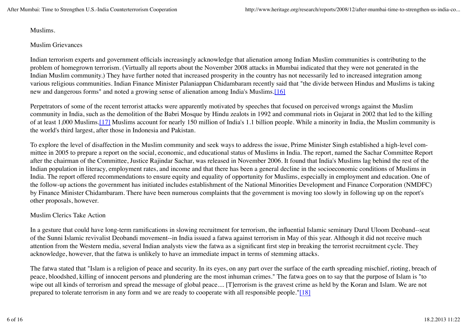Muslims.

#### Muslim Grievances

Indian terrorism experts and government officials increasingly acknowledge that alienation among Indian Muslim communities is contributing to the problem of homegrown terrorism. (Virtually all reports about the November 2008 attacks in Mumbai indicated that they were not generated in the Indian Muslim community.) They have further noted that increased prosperity in the country has not necessarily led to increased integration among various religious communities. Indian Finance Minister Palaniappan Chidambaram recently said that "the divide between Hindus and Muslims is taking new and dangerous forms" and noted a growing sense of alienation among India's Muslims.[16]

Perpetrators of some of the recent terrorist attacks were apparently motivated by speeches that focused on perceived wrongs against the Muslim community in India, such as the demolition of the Babri Mosque by Hindu zealots in 1992 and communal riots in Gujarat in 2002 that led to the killing of at least 1,000 Muslims.[17] Muslims account for nearly 150 million of India's 1.1 billion people. While a minority in India, the Muslim community is the world's third largest, after those in Indonesia and Pakistan.

To explore the level of disaffection in the Muslim community and seek ways to address the issue, Prime Minister Singh established a high-level committee in 2005 to prepare a report on the social, economic, and educational status of Muslims in India. The report, named the Sachar Committee Report after the chairman of the Committee, Justice Rajindar Sachar, was released in November 2006. It found that India's Muslims lag behind the rest of the Indian population in literacy, employment rates, and income and that there has been a general decline in the socioeconomic conditions of Muslims in India. The report offered recommendations to ensure equity and equality of opportunity for Muslims, especially in employment and education. One of the follow-up actions the government has initiated includes establishment of the National Minorities Development and Finance Corporation (NMDFC) by Finance Minister Chidambaram. There have been numerous complaints that the government is moving too slowly in following up on the report's other proposals, however.

### Muslim Clerics Take Action

In a gesture that could have long-term ramifications in slowing recruitment for terrorism, the influential Islamic seminary Darul Uloom Deoband--seat of the Sunni Islamic revivalist Deobandi movement--in India issued a fatwa against terrorism in May of this year. Although it did not receive much attention from the Western media, several Indian analysts view the fatwa as a significant first step in breaking the terrorist recruitment cycle. They acknowledge, however, that the fatwa is unlikely to have an immediate impact in terms of stemming attacks.

The fatwa stated that "Islam is a religion of peace and security. In its eyes, on any part over the surface of the earth spreading mischief, rioting, breach of peace, bloodshed, killing of innocent persons and plundering are the most inhuman crimes." The fatwa goes on to say that the purpose of Islam is "to wipe out all kinds of terrorism and spread the message of global peace.... [T]errorism is the gravest crime as held by the Koran and Islam. We are not prepared to tolerate terrorism in any form and we are ready to cooperate with all responsible people."[18]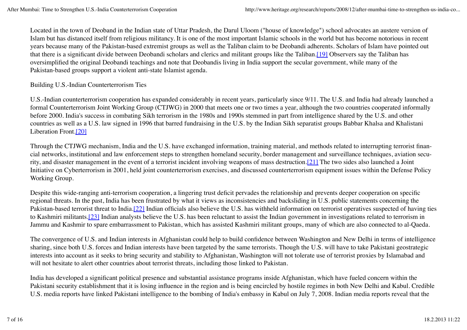Located in the town of Deoband in the Indian state of Uttar Pradesh, the Darul Uloom ("house of knowledge") school advocates an austere version of Islam but has distanced itself from religious militancy. It is one of the most important Islamic schools in the world but has become notorious in recent years because many of the Pakistan-based extremist groups as well as the Taliban claim to be Deobandi adherents. Scholars of Islam have pointed out that there is a significant divide between Deobandi scholars and clerics and militant groups like the Taliban.[19] Observers say the Taliban has oversimplified the original Deobandi teachings and note that Deobandis living in India support the secular government, while many of the Pakistan-based groups support a violent anti-state Islamist agenda.

## Building U.S.-Indian Counterterrorism Ties

U.S.-Indian counterterrorism cooperation has expanded considerably in recent years, particularly since 9/11. The U.S. and India had already launched a formal Counterterrorism Joint Working Group (CTJWG) in 2000 that meets one or two times a year, although the two countries cooperated informally before 2000. India's success in combating Sikh terrorism in the 1980s and 1990s stemmed in part from intelligence shared by the U.S. and other countries as well as a U.S. law signed in 1996 that barred fundraising in the U.S. by the Indian Sikh separatist groups Babbar Khalsa and Khalistani Liberation Front.[20]

Through the CTJWG mechanism, India and the U.S. have exchanged information, training material, and methods related to interrupting terrorist financial networks, institutional and law enforcement steps to strengthen homeland security, border management and surveillance techniques, aviation security, and disaster management in the event of a terrorist incident involving weapons of mass destruction.[21] The two sides also launched a Joint Initiative on Cyberterrorism in 2001, held joint counterterrorism exercises, and discussed counterterrorism equipment issues within the Defense Policy Working Group.

Despite this wide-ranging anti-terrorism cooperation, a lingering trust deficit pervades the relationship and prevents deeper cooperation on specific regional threats. In the past, India has been frustrated by what it views as inconsistencies and backsliding in U.S. public statements concerning the Pakistan-based terrorist threat to India.<sup>[22]</sup> Indian officials also believe the U.S. has withheld information on terrorist operatives suspected of having ties to Kashmiri militants.[23] Indian analysts believe the U.S. has been reluctant to assist the Indian government in investigations related to terrorism in Jammu and Kashmir to spare embarrassment to Pakistan, which has assisted Kashmiri militant groups, many of which are also connected to al-Qaeda.

The convergence of U.S. and Indian interests in Afghanistan could help to build confidence between Washington and New Delhi in terms of intelligence sharing, since both U.S. forces and Indian interests have been targeted by the same terrorists. Though the U.S. will have to take Pakistani geostrategic interests into account as it seeks to bring security and stability to Afghanistan, Washington will not tolerate use of terrorist proxies by Islamabad and will not hesitate to alert other countries about terrorist threats, including those linked to Pakistan.

India has developed a significant political presence and substantial assistance programs inside Afghanistan, which have fueled concern within the Pakistani security establishment that it is losing influence in the region and is being encircled by hostile regimes in both New Delhi and Kabul. Credible U.S. media reports have linked Pakistani intelligence to the bombing of India's embassy in Kabul on July 7, 2008. Indian media reports reveal that the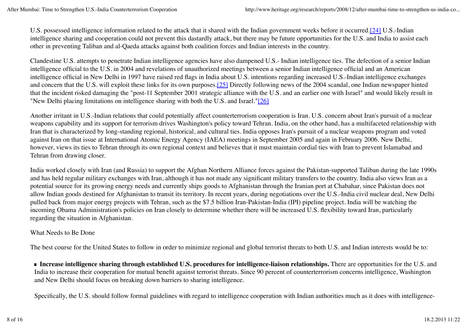U.S. possessed intelligence information related to the attack that it shared with the Indian government weeks before it occurred.[24] U.S.-Indian intelligence sharing and cooperation could not prevent this dastardly attack, but there may be future opportunities for the U.S. and India to assist each other in preventing Taliban and al-Qaeda attacks against both coalition forces and Indian interests in the country.

Clandestine U.S. attempts to penetrate Indian intelligence agencies have also dampened U.S.- Indian intelligence ties. The defection of a senior Indian intelligence official to the U.S. in 2004 and revelations of unauthorized meetings between a senior Indian intelligence official and an American intelligence official in New Delhi in 1997 have raised red flags in India about U.S. intentions regarding increased U.S.-Indian intelligence exchanges and concern that the U.S. will exploit these links for its own purposes.[25] Directly following news of the 2004 scandal, one Indian newspaper hinted that the incident risked damaging the "post-11 September 2001 strategic alliance with the U.S. and an earlier one with Israel" and would likely result in "New Delhi placing limitations on intelligence sharing with both the U.S. and Israel."[26]

Another irritant in U.S.-Indian relations that could potentially affect counterterrorism cooperation is Iran. U.S. concern about Iran's pursuit of a nuclear weapons capability and its support for terrorism drives Washington's policy toward Tehran. India, on the other hand, has a multifaceted relationship with Iran that is characterized by long-standing regional, historical, and cultural ties. India opposes Iran's pursuit of a nuclear weapons program and voted against Iran on that issue at International Atomic Energy Agency (IAEA) meetings in September 2005 and again in February 2006. New Delhi, however, views its ties to Tehran through its own regional context and believes that it must maintain cordial ties with Iran to prevent Islamabad and Tehran from drawing closer.

India worked closely with Iran (and Russia) to support the Afghan Northern Alliance forces against the Pakistan-supported Taliban during the late 1990s and has held regular military exchanges with Iran, although it has not made any significant military transfers to the country. India also views Iran as a potential source for its growing energy needs and currently ships goods to Afghanistan through the Iranian port at Chabahar, since Pakistan does not allow Indian goods destined for Afghanistan to transit its territory. In recent years, during negotiations over the U.S.-India civil nuclear deal, New Delhi pulled back from major energy projects with Tehran, such as the \$7.5 billion Iran-Pakistan-India (IPI) pipeline project. India will be watching the incoming Obama Administration's policies on Iran closely to determine whether there will be increased U.S. flexibility toward Iran, particularly regarding the situation in Afghanistan.

### What Needs to Be Done

The best course for the United States to follow in order to minimize regional and global terrorist threats to both U.S. and Indian interests would be to:

**Increase intelligence sharing through established U.S. procedures for intelligence-liaison relationships.** There are opportunities for the U.S. and India to increase their cooperation for mutual benefit against terrorist threats. Since 90 percent of counterterrorism concerns intelligence, Washington and New Delhi should focus on breaking down barriers to sharing intelligence.

Specifically, the U.S. should follow formal guidelines with regard to intelligence cooperation with Indian authorities much as it does with intelligence-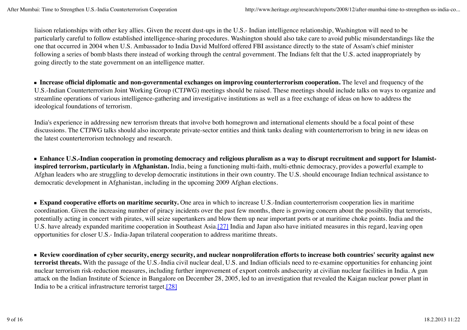liaison relationships with other key allies. Given the recent dust-ups in the U.S.- Indian intelligence relationship, Washington will need to be particularly careful to follow established intelligence-sharing procedures. Washington should also take care to avoid public misunderstandings like the one that occurred in 2004 when U.S. Ambassador to India David Mulford offered FBI assistance directly to the state of Assam's chief minister following a series of bomb blasts there instead of working through the central government. The Indians felt that the U.S. acted inappropriately by going directly to the state government on an intelligence matter.

**Increase official diplomatic and non-governmental exchanges on improving counterterrorism cooperation.** The level and frequency of the U.S.-Indian Counterterrorism Joint Working Group (CTJWG) meetings should be raised. These meetings should include talks on ways to organize and streamline operations of various intelligence-gathering and investigative institutions as well as a free exchange of ideas on how to address the ideological foundations of terrorism.

India's experience in addressing new terrorism threats that involve both homegrown and international elements should be a focal point of these discussions. The CTJWG talks should also incorporate private-sector entities and think tanks dealing with counterterrorism to bring in new ideas on the latest counterterrorism technology and research.

**Enhance U.S.-Indian cooperation in promoting democracy and religious pluralism as a way to disrupt recruitment and support for Islamistinspired terrorism, particularly in Afghanistan.** India, being a functioning multi-faith, multi-ethnic democracy, provides a powerful example to Afghan leaders who are struggling to develop democratic institutions in their own country. The U.S. should encourage Indian technical assistance to democratic development in Afghanistan, including in the upcoming 2009 Afghan elections.

**Expand cooperative efforts on maritime security.** One area in which to increase U.S.-Indian counterterrorism cooperation lies in maritime coordination. Given the increasing number of piracy incidents over the past few months, there is growing concern about the possibility that terrorists, potentially acting in concert with pirates, will seize supertankers and blow them up near important ports or at maritime choke points. India and the U.S. have already expanded maritime cooperation in Southeast Asia.[27] India and Japan also have initiated measures in this regard, leaving open opportunities for closer U.S.- India-Japan trilateral cooperation to address maritime threats.

**Review coordination of cyber security, energy security, and nuclear nonproliferation efforts to increase both countries' security against new terrorist threats.** With the passage of the U.S.-India civil nuclear deal, U.S. and Indian officials need to re-examine opportunities for enhancing joint nuclear terrorism risk-reduction measures, including further improvement of export controls andsecurity at civilian nuclear facilities in India. A gun attack on the Indian Institute of Science in Bangalore on December 28, 2005, led to an investigation that revealed the Kaigan nuclear power plant in India to be a critical infrastructure terrorist target.[28]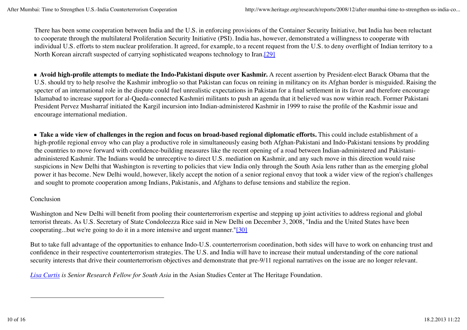There has been some cooperation between India and the U.S. in enforcing provisions of the Container Security Initiative, but India has been reluctant to cooperate through the multilateral Proliferation Security Initiative (PSI). India has, however, demonstrated a willingness to cooperate with individual U.S. efforts to stem nuclear proliferation. It agreed, for example, to a recent request from the U.S. to deny overflight of Indian territory to a North Korean aircraft suspected of carrying sophisticated weapons technology to Iran.[29]

**Avoid high-profile attempts to mediate the Indo-Pakistani dispute over Kashmir.** A recent assertion by President-elect Barack Obama that the U.S. should try to help resolve the Kashmir imbroglio so that Pakistan can focus on reining in militancy on its Afghan border is misguided. Raising the specter of an international role in the dispute could fuel unrealistic expectations in Pakistan for a final settlement in its favor and therefore encourage Islamabad to increase support for al-Qaeda-connected Kashmiri militants to push an agenda that it believed was now within reach. Former Pakistani President Pervez Musharraf initiated the Kargil incursion into Indian-administered Kashmir in 1999 to raise the profile of the Kashmir issue and encourage international mediation.

**Take a wide view of challenges in the region and focus on broad-based regional diplomatic efforts.** This could include establishment of a high-profile regional envoy who can play a productive role in simultaneously easing both Afghan-Pakistani and Indo-Pakistani tensions by prodding the countries to move forward with confidence-building measures like the recent opening of a road between Indian-administered and Pakistaniadministered Kashmir. The Indians would be unreceptive to direct U.S. mediation on Kashmir, and any such move in this direction would raise suspicions in New Delhi that Washington is reverting to policies that view India only through the South Asia lens rather than as the emerging global power it has become. New Delhi would, however, likely accept the notion of a senior regional envoy that took a wider view of the region's challenges and sought to promote cooperation among Indians, Pakistanis, and Afghans to defuse tensions and stabilize the region.

### Conclusion

Washington and New Delhi will benefit from pooling their counterterrorism expertise and stepping up joint activities to address regional and global terrorist threats. As U.S. Secretary of State Condoleezza Rice said in New Delhi on December 3, 2008, "India and the United States have been cooperating...but we're going to do it in a more intensive and urgent manner."[30]

But to take full advantage of the opportunities to enhance Indo-U.S. counterterrorism coordination, both sides will have to work on enhancing trust and confidence in their respective counterterrorism strategies. The U.S. and India will have to increase their mutual understanding of the core national security interests that drive their counterterrorism objectives and demonstrate that pre-9/11 regional narratives on the issue are no longer relevant.

*Lisa Curtis is Senior Research Fellow for South Asia* in the Asian Studies Center at The Heritage Foundation.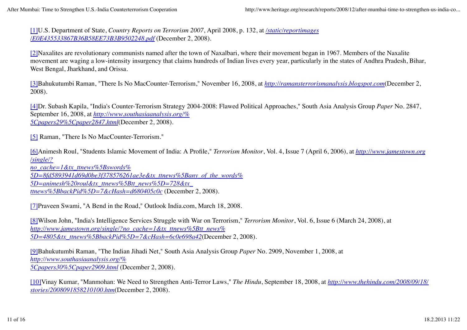[1]U.S. Department of State, *Country Reports on Terrorism 2007*, April 2008, p. 132, at */static/reportimages /E0E435533867B36B58EE73B3B9502248.pdf* (December 2, 2008).

[2]Naxalites are revolutionary communists named after the town of Naxalbari, where their movement began in 1967. Members of the Naxalite movement are waging a low-intensity insurgency that claims hundreds of Indian lives every year, particularly in the states of Andhra Pradesh, Bihar, West Bengal, Jharkhand, and Orissa.

[3]Bahukutumbi Raman, "There Is No MacCounter-Terrorism," November 16, 2008, at *http://ramansterrorismanalysis.blogspot.com*(December 2, 2008).

[4]Dr. Subash Kapila, "India's Counter-Terrorism Strategy 2004-2008: Flawed Political Approaches," South Asia Analysis Group *Paper* No. 2847, September 16, 2008, at *http://www.southasiaanalysis.org/% 5Cpapers29%5Cpaper2847.html*(December 2, 2008).

[5] Raman, "There Is No MacCounter-Terrorism."

[6]Animesh Roul, "Students Islamic Movement of India: A Profile," *Terrorism Monitor*, Vol. 4, Issue 7 (April 6, 2006), at *http://www.jamestown.org /single/? no\_cache=1&tx\_ttnews%5Bswords%*

*5D=8fd5893941d69d0be3f378576261ae3e&tx\_ttnews%5Bany\_of\_the\_words% 5D=animesh%20roul&tx\_ttnews%5Btt\_news%5D=728&tx\_ ttnews%5BbackPid%5D=7&cHash=d680405c0c* (December 2, 2008).

[7]Praveen Swami, "A Bend in the Road," Outlook India.com, March 18, 2008.

[8]Wilson John, "India's Intelligence Services Struggle with War on Terrorism," *Terrorism Monitor*, Vol. 6, Issue 6 (March 24, 2008), at *http://www.jamestown.org/single/?no\_cache=1&tx\_ttnews%5Btt\_news% 5D=4805&tx\_ttnews%5BbackPid%5D=7&cHash=6c0e698a42*(December 2, 2008).

[9]Bahukutumbi Raman, "The Indian Jihadi Net," South Asia Analysis Group *Paper* No. 2909, November 1, 2008, at *http://www.southasiaanalysis.org/% 5Cpapers30%5Cpaper2909.html* (December 2, 2008).

[10]Vinay Kumar, "Manmohan: We Need to Strengthen Anti-Terror Laws," *The Hindu*, September 18, 2008, at *http://www.thehindu.com/2008/09/18/ stories/2008091858210100.htm*(December 2, 2008).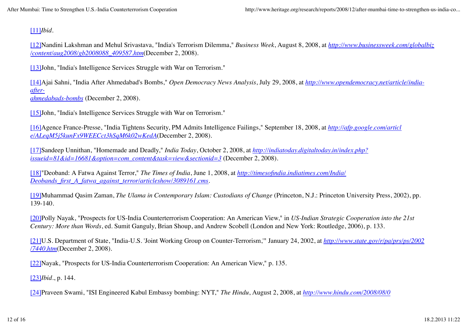## [11]*Ibid.*

[12]Nandini Lakshman and Mehul Srivastava, "India's Terrorism Dilemma," *Business Week*, August 8, 2008, at *http://www.businessweek.com/globalbiz /content/aug2008/gb2008088\_409587.htm*(December 2, 2008).

[13]John, "India's Intelligence Services Struggle with War on Terrorism."

[14]Ajai Sahni, "India After Ahmedabad's Bombs," *Open Democracy News Analysis*, July 29, 2008, at *http://www.opendemocracy.net/article/indiaafter-*

*ahmedabads-bombs* (December 2, 2008).

[15]John, "India's Intelligence Services Struggle with War on Terrorism."

[16]Agence France-Presse, "India Tightens Security, PM Admits Intelligence Failings," September 18, 2008, at *http://afp.google.com/articl e/ALeqM5j5kunFx9WEECct3hSqM6k02wKedA*(December 2, 2008).

[17]Sandeep Unnithan, "Homemade and Deadly," *India Today*, October 2, 2008, at *http://indiatoday.digitaltoday.in/index.php? issueid=81&id=16681&option=com\_content&task=view&sectionid=3* (December 2, 2008).

[18]"Deoband: A Fatwa Against Terror," *The Times of India*, June 1, 2008, at *http://timesofindia.indiatimes.com/India/ Deobands\_first\_A\_fatwa\_against\_terror/articleshow/3089161.cms*.

[19]Muhammad Qasim Zaman, *The Ulama in Contemporary Islam: Custodians of Change* (Princeton, N.J.: Princeton University Press, 2002), pp. 139-140.

[20]Polly Nayak, "Prospects for US-India Counterterrorism Cooperation: An American View," in *US-Indian Strategic Cooperation into the 21st Century: More than Words*, ed. Sumit Ganguly, Brian Shoup, and Andrew Scobell (London and New York: Routledge, 2006), p. 133.

[21]U.S. Department of State, "India-U.S. 'Joint Working Group on Counter-Terrorism,'" January 24, 2002, at *http://www.state.gov/r/pa/prs/ps/2002 /7440.htm*(December 2, 2008).

[22]Nayak, "Prospects for US-India Counterterrorism Cooperation: An American View," p. 135.

[23]*Ibid*., p. 144.

[24]Praveen Swami, "ISI Engineered Kabul Embassy bombing: NYT," *The Hindu*, August 2, 2008, at *http://www.hindu.com/2008/08/0*